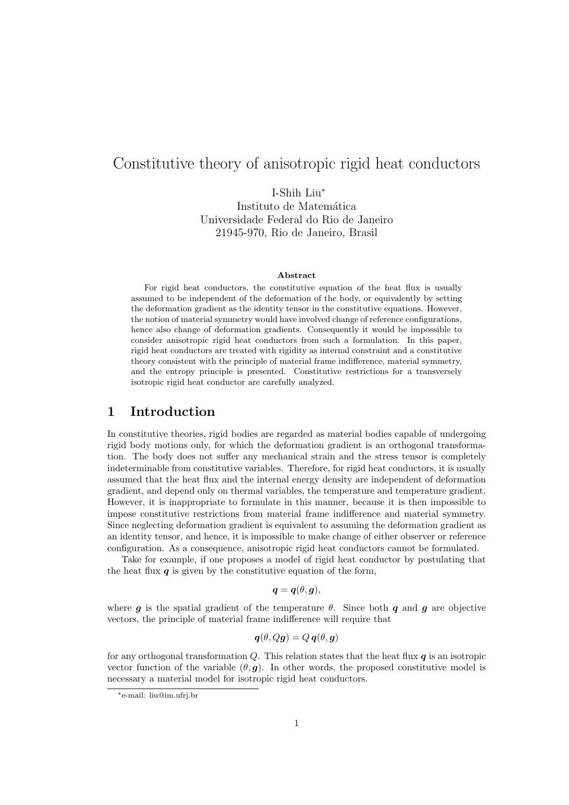# Constitutive theory of anisotropic rigid heat conductors

I-Shih Liu<sup>∗</sup> Instituto de Matemática Universidade Federal do Rio de Janeiro 21945-970, Rio de Janeiro, Brasil

#### Abstract

For rigid heat conductors, the constitutive equation of the heat flux is usually assumed to be independent of the deformation of the body, or equivalently by setting the deformation gradient as the identity tensor in the constitutive equations. However, the notion of material symmetry would have involved change of reference configurations, hence also change of deformation gradients. Consequently it would be impossible to consider anisotropic rigid heat conductors from such a formulation. In this paper, rigid heat conductors are treated with rigidity as internal constraint and a constitutive theory consistent with the principle of material frame indifference, material symmetry, and the entropy principle is presented. Constitutive restrictions for a transversely isotropic rigid heat conductor are carefully analyzed.

#### 1 Introduction

In constitutive theories, rigid bodies are regarded as material bodies capable of undergoing rigid body motions only, for which the deformation gradient is an orthogonal transformation. The body does not suffer any mechanical strain and the stress tensor is completely indeterminable from constitutive variables. Therefore, for rigid heat conductors, it is usually assumed that the heat flux and the internal energy density are independent of deformation gradient, and depend only on thermal variables, the temperature and temperature gradient. However, it is inappropriate to formulate in this manner, because it is then impossible to impose constitutive restrictions from material frame indifference and material symmetry. Since neglecting deformation gradient is equivalent to assuming the deformation gradient as an identity tensor, and hence, it is impossible to make change of either observer or reference configuration. As a consequence, anisotropic rigid heat conductors cannot be formulated.

Take for example, if one proposes a model of rigid heat conductor by postulating that the heat flux  $q$  is given by the constitutive equation of the form,

$$
\boldsymbol{q} = \boldsymbol{q}(\theta, \boldsymbol{g}),
$$

where g is the spatial gradient of the temperature  $\theta$ . Since both q and g are objective vectors, the principle of material frame indifference will require that

$$
\boldsymbol{q}(\theta,Q\boldsymbol{g})=Q\,\boldsymbol{q}(\theta,\boldsymbol{g})
$$

for any orthogonal transformation  $Q$ . This relation states that the heat flux  $q$  is an isotropic vector function of the variable  $(\theta, \mathbf{q})$ . In other words, the proposed constitutive model is necessary a material model for isotropic rigid heat conductors.

<sup>∗</sup>e-mail: liu@im.ufrj.br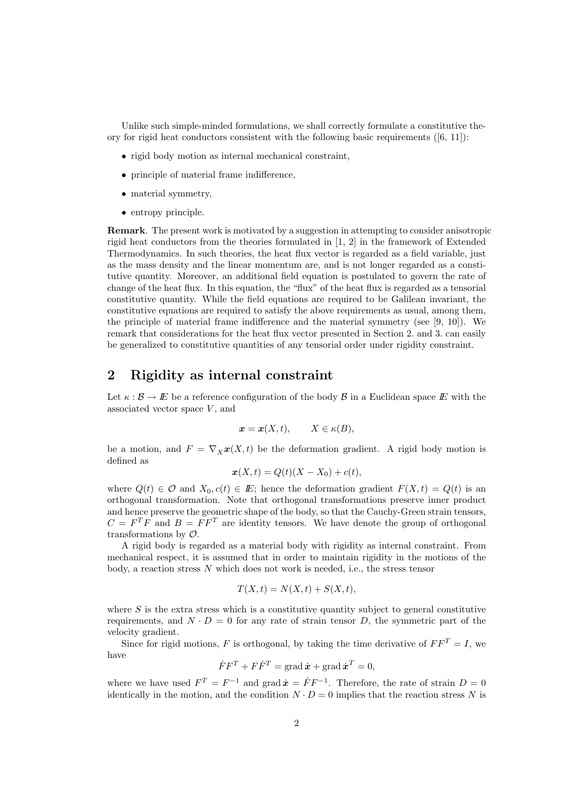Unlike such simple-minded formulations, we shall correctly formulate a constitutive theory for rigid heat conductors consistent with the following basic requirements  $([6, 11])$ :

- rigid body motion as internal mechanical constraint,
- principle of material frame indifference,
- material symmetry,
- entropy principle.

Remark. The present work is motivated by a suggestion in attempting to consider anisotropic rigid heat conductors from the theories formulated in [1, 2] in the framework of Extended Thermodynamics. In such theories, the heat flux vector is regarded as a field variable, just as the mass density and the linear momentum are, and is not longer regarded as a constitutive quantity. Moreover, an additional field equation is postulated to govern the rate of change of the heat flux. In this equation, the "flux" of the heat flux is regarded as a tensorial constitutive quantity. While the field equations are required to be Galilean invariant, the constitutive equations are required to satisfy the above requirements as usual, among them, the principle of material frame indifference and the material symmetry (see [9, 10]). We remark that considerations for the heat flux vector presented in Section 2. and 3. can easily be generalized to constitutive quantities of any tensorial order under rigidity constraint.

## 2 Rigidity as internal constraint

Let  $\kappa : \mathcal{B} \to E$  be a reference configuration of the body  $\mathcal{B}$  in a Euclidean space E with the associated vector space  $V$ , and

$$
\mathbf{x} = \mathbf{x}(X, t), \qquad X \in \kappa(B),
$$

be a motion, and  $F = \nabla_X \mathbf{x}(X, t)$  be the deformation gradient. A rigid body motion is defined as

$$
\boldsymbol{x}(X,t) = Q(t)(X - X_0) + c(t),
$$

where  $Q(t) \in \mathcal{O}$  and  $X_0, c(t) \in E$ ; hence the deformation gradient  $F(X,t) = Q(t)$  is an orthogonal transformation. Note that orthogonal transformations preserve inner product and hence preserve the geometric shape of the body, so that the Cauchy-Green strain tensors,  $C = F^T F$  and  $B = F F^T$  are identity tensors. We have denote the group of orthogonal transformations by O.

A rigid body is regarded as a material body with rigidity as internal constraint. From mechanical respect, it is assumed that in order to maintain rigidity in the motions of the body, a reaction stress  $N$  which does not work is needed, i.e., the stress tensor

$$
T(X,t) = N(X,t) + S(X,t),
$$

where  $S$  is the extra stress which is a constitutive quantity subject to general constitutive requirements, and  $N \cdot D = 0$  for any rate of strain tensor D, the symmetric part of the velocity gradient.

Since for rigid motions, F is orthogonal, by taking the time derivative of  $FF^T = I$ , we have

$$
\dot{F}F^{T} + F\dot{F}^{T} = \text{grad}\,\dot{x} + \text{grad}\,\dot{x}^{T} = 0,
$$

where we have used  $F^T = F^{-1}$  and grad  $\dot{\mathbf{x}} = \dot{F} F^{-1}$ . Therefore, the rate of strain  $D = 0$ identically in the motion, and the condition  $N \cdot D = 0$  implies that the reaction stress N is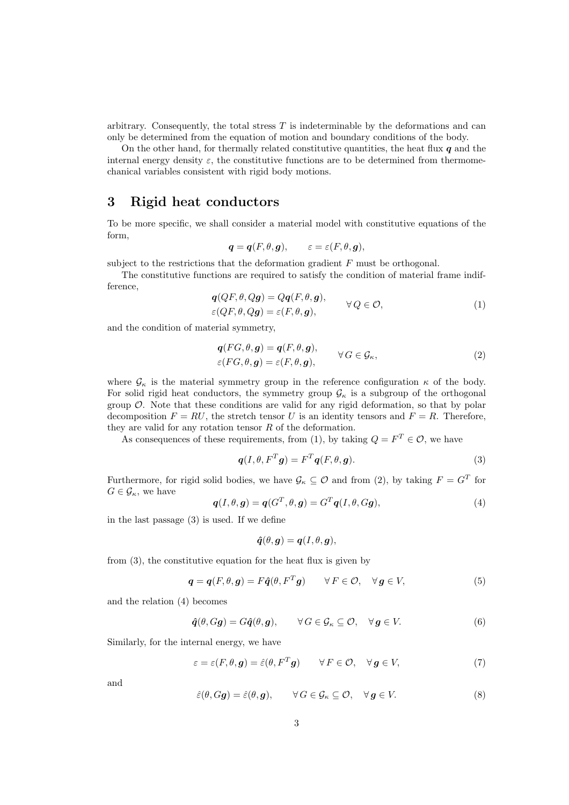arbitrary. Consequently, the total stress  $T$  is indeterminable by the deformations and can only be determined from the equation of motion and boundary conditions of the body.

On the other hand, for thermally related constitutive quantities, the heat flux  $q$  and the internal energy density  $\varepsilon$ , the constitutive functions are to be determined from thermomechanical variables consistent with rigid body motions.

## 3 Rigid heat conductors

To be more specific, we shall consider a material model with constitutive equations of the form,

$$
\mathbf{q} = \mathbf{q}(F, \theta, \mathbf{g}), \qquad \varepsilon = \varepsilon(F, \theta, \mathbf{g}),
$$

subject to the restrictions that the deformation gradient  $F$  must be orthogonal.

The constitutive functions are required to satisfy the condition of material frame indifference,  $(QFA, O<sub>z</sub>) = Q<sub>z</sub>(FA, g)$ 

$$
q(QF, \theta, Qg) = Qq(F, \theta, g),
$$
  
\n
$$
\varepsilon(QF, \theta, Qg) = \varepsilon(F, \theta, g),
$$
  
\n
$$
\forall Q \in \mathcal{O},
$$
\n(1)

and the condition of material symmetry,

$$
\mathbf{q}(FG,\theta,\mathbf{g}) = \mathbf{q}(F,\theta,\mathbf{g}),
$$
  
\n
$$
\varepsilon(FG,\theta,\mathbf{g}) = \varepsilon(F,\theta,\mathbf{g}),
$$
  
\n
$$
\forall G \in \mathcal{G}_{\kappa},
$$
\n(2)

where  $\mathcal{G}_{\kappa}$  is the material symmetry group in the reference configuration  $\kappa$  of the body. For solid rigid heat conductors, the symmetry group  $\mathcal{G}_{\kappa}$  is a subgroup of the orthogonal group  $\mathcal{O}$ . Note that these conditions are valid for any rigid deformation, so that by polar decomposition  $F = RU$ , the stretch tensor U is an identity tensors and  $F = R$ . Therefore, they are valid for any rotation tensor  $R$  of the deformation.

As consequences of these requirements, from (1), by taking  $Q = F^T \in \mathcal{O}$ , we have

$$
q(I, \theta, F^T g) = F^T q(F, \theta, g).
$$
\n(3)

Furthermore, for rigid solid bodies, we have  $\mathcal{G}_{\kappa} \subseteq \mathcal{O}$  and from (2), by taking  $F = G^T$  for  $G \in \mathcal{G}_{\kappa}$ , we have

$$
\boldsymbol{q}(I,\theta,\boldsymbol{g})=\boldsymbol{q}(G^T,\theta,\boldsymbol{g})=G^T\boldsymbol{q}(I,\theta,G\boldsymbol{g}),
$$
\n(4)

in the last passage (3) is used. If we define

$$
\hat{\boldsymbol{q}}(\theta, \boldsymbol{g}) = \boldsymbol{q}(I, \theta, \boldsymbol{g}),
$$

from (3), the constitutive equation for the heat flux is given by

$$
\mathbf{q} = \mathbf{q}(F, \theta, \mathbf{g}) = F\hat{\mathbf{q}}(\theta, F^T \mathbf{g}) \qquad \forall F \in \mathcal{O}, \quad \forall \mathbf{g} \in V,
$$
 (5)

and the relation (4) becomes

$$
\hat{\boldsymbol{q}}(\theta, G\boldsymbol{g}) = G\hat{\boldsymbol{q}}(\theta, \boldsymbol{g}), \qquad \forall G \in \mathcal{G}_{\kappa} \subseteq \mathcal{O}, \quad \forall \boldsymbol{g} \in V. \tag{6}
$$

Similarly, for the internal energy, we have

$$
\varepsilon = \varepsilon(F, \theta, \mathbf{g}) = \hat{\varepsilon}(\theta, F^T \mathbf{g}) \qquad \forall F \in \mathcal{O}, \quad \forall \mathbf{g} \in V,
$$
 (7)

and

$$
\hat{\varepsilon}(\theta, Gg) = \hat{\varepsilon}(\theta, g), \qquad \forall G \in \mathcal{G}_{\kappa} \subseteq \mathcal{O}, \quad \forall g \in V.
$$
 (8)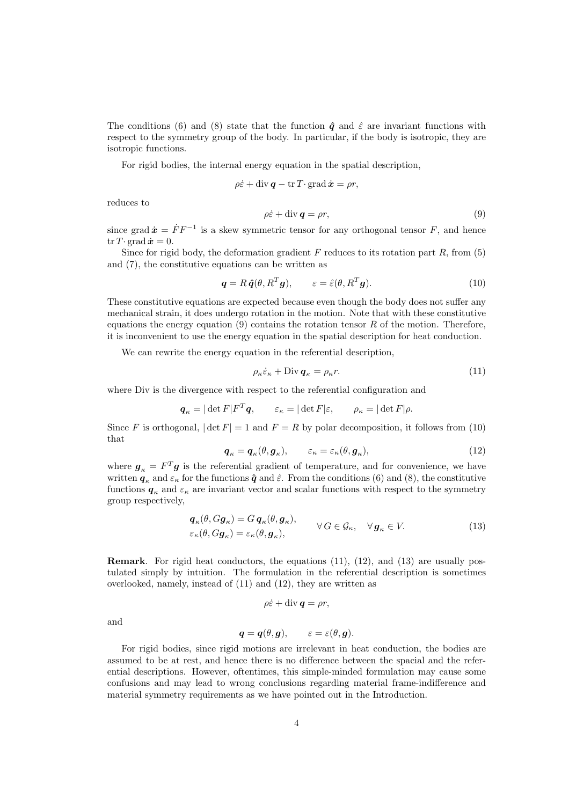The conditions (6) and (8) state that the function  $\hat{q}$  and  $\hat{\varepsilon}$  are invariant functions with respect to the symmetry group of the body. In particular, if the body is isotropic, they are isotropic functions.

For rigid bodies, the internal energy equation in the spatial description,

$$
\rho \dot{\varepsilon} + \text{div}\,\boldsymbol{q} - \text{tr}\,T\!\cdot\text{grad}\,\dot{\boldsymbol{x}} = \rho r,
$$

reduces to

$$
\rho \dot{\varepsilon} + \text{div} \, \mathbf{q} = \rho r,\tag{9}
$$

since grad  $\dot{x} = \dot{F}F^{-1}$  is a skew symmetric tensor for any orthogonal tensor F, and hence tr T· grad  $\dot{x} = 0$ .

Since for rigid body, the deformation gradient  $F$  reduces to its rotation part  $R$ , from (5) and (7), the constitutive equations can be written as

$$
\mathbf{q} = R \,\hat{\mathbf{q}}(\theta, R^T \mathbf{g}), \qquad \varepsilon = \hat{\varepsilon}(\theta, R^T \mathbf{g}). \tag{10}
$$

These constitutive equations are expected because even though the body does not suffer any mechanical strain, it does undergo rotation in the motion. Note that with these constitutive equations the energy equation (9) contains the rotation tensor  $R$  of the motion. Therefore, it is inconvenient to use the energy equation in the spatial description for heat conduction.

We can rewrite the energy equation in the referential description,

$$
\rho_{\kappa} \dot{\varepsilon}_{\kappa} + \text{Div} \, \mathbf{q}_{\kappa} = \rho_{\kappa} r. \tag{11}
$$

where Div is the divergence with respect to the referential configuration and

$$
\boldsymbol{q}_{\kappa} = |\det F| F^T \boldsymbol{q}, \qquad \varepsilon_{\kappa} = |\det F| \varepsilon, \qquad \rho_{\kappa} = |\det F| \rho.
$$

Since F is orthogonal,  $|\det F| = 1$  and  $F = R$  by polar decomposition, it follows from (10) that

$$
\boldsymbol{q}_{\kappa} = \boldsymbol{q}_{\kappa}(\theta, \boldsymbol{g}_{\kappa}), \qquad \varepsilon_{\kappa} = \varepsilon_{\kappa}(\theta, \boldsymbol{g}_{\kappa}), \tag{12}
$$

where  $g_{\kappa} = F^{T}g$  is the referential gradient of temperature, and for convenience, we have written  $q_{\kappa}$  and  $\varepsilon_{\kappa}$  for the functions  $\hat{q}$  and  $\hat{\varepsilon}$ . From the conditions (6) and (8), the constitutive functions  $q_{\kappa}$  and  $\varepsilon_{\kappa}$  are invariant vector and scalar functions with respect to the symmetry group respectively,

$$
\begin{aligned}\n\boldsymbol{q}_{\kappa}(\theta, G\boldsymbol{g}_{\kappa}) &= G \, \boldsymbol{q}_{\kappa}(\theta, \boldsymbol{g}_{\kappa}), &\forall G \in \mathcal{G}_{\kappa}, \quad \forall \, \boldsymbol{g}_{\kappa} \in V.\n\end{aligned} \tag{13}
$$

Remark. For rigid heat conductors, the equations (11), (12), and (13) are usually postulated simply by intuition. The formulation in the referential description is sometimes overlooked, namely, instead of (11) and (12), they are written as

$$
\rho \dot{\varepsilon} + \mathrm{div}\,\boldsymbol{q} = \rho r,
$$

and

$$
\boldsymbol{q} = \boldsymbol{q}(\theta, \boldsymbol{g}), \qquad \varepsilon = \varepsilon(\theta, \boldsymbol{g}).
$$

For rigid bodies, since rigid motions are irrelevant in heat conduction, the bodies are assumed to be at rest, and hence there is no difference between the spacial and the referential descriptions. However, oftentimes, this simple-minded formulation may cause some confusions and may lead to wrong conclusions regarding material frame-indifference and material symmetry requirements as we have pointed out in the Introduction.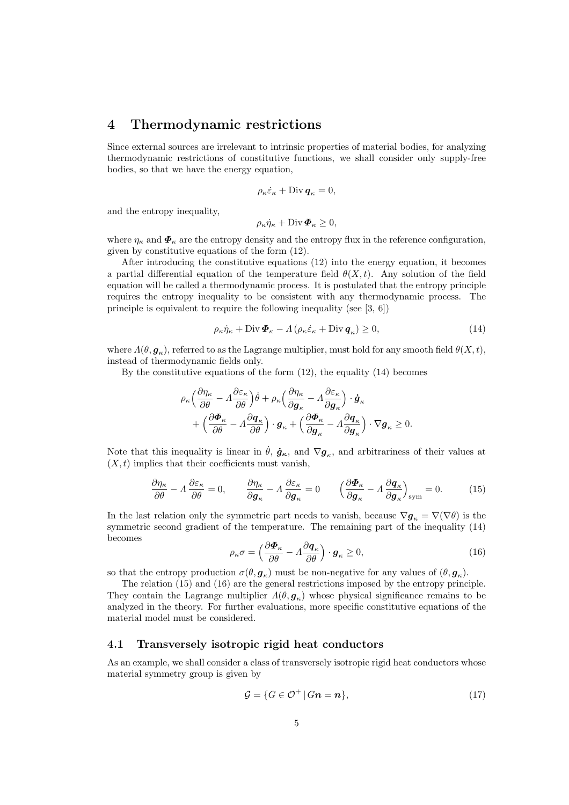#### 4 Thermodynamic restrictions

Since external sources are irrelevant to intrinsic properties of material bodies, for analyzing thermodynamic restrictions of constitutive functions, we shall consider only supply-free bodies, so that we have the energy equation,

$$
\rho_{\kappa}\dot{\varepsilon}_{\kappa} + \text{Div}\,\mathbf{q}_{\kappa} = 0,
$$

and the entropy inequality,

$$
\rho_{\kappa}\dot{\eta}_{\kappa} + \text{Div}\,\boldsymbol{\Phi}_{\kappa} \geq 0,
$$

where  $\eta_{\kappa}$  and  $\Phi_{\kappa}$  are the entropy density and the entropy flux in the reference configuration, given by constitutive equations of the form (12).

After introducing the constitutive equations (12) into the energy equation, it becomes a partial differential equation of the temperature field  $\theta(X,t)$ . Any solution of the field equation will be called a thermodynamic process. It is postulated that the entropy principle requires the entropy inequality to be consistent with any thermodynamic process. The principle is equivalent to require the following inequality (see [3, 6])

$$
\rho_{\kappa}\dot{\eta}_{\kappa} + \text{Div}\,\boldsymbol{\Phi}_{\kappa} - \Lambda\left(\rho_{\kappa}\dot{\varepsilon}_{\kappa} + \text{Div}\,\boldsymbol{q}_{\kappa}\right) \ge 0,\tag{14}
$$

where  $\varLambda(\theta, \bm{g}_\kappa)$ , referred to as the Lagrange multiplier, must hold for any smooth field  $\theta(X, t)$ , instead of thermodynamic fields only.

By the constitutive equations of the form (12), the equality (14) becomes

$$
\rho_{\kappa} \left( \frac{\partial \eta_{\kappa}}{\partial \theta} - \Lambda \frac{\partial \varepsilon_{\kappa}}{\partial \theta} \right) \dot{\theta} + \rho_{\kappa} \left( \frac{\partial \eta_{\kappa}}{\partial \boldsymbol{g}_{\kappa}} - \Lambda \frac{\partial \varepsilon_{\kappa}}{\partial \boldsymbol{g}_{\kappa}} \right) \cdot \dot{\boldsymbol{g}}_{\kappa} + \left( \frac{\partial \boldsymbol{\Phi}_{\kappa}}{\partial \theta} - \Lambda \frac{\partial \boldsymbol{q}_{\kappa}}{\partial \theta} \right) \cdot \boldsymbol{g}_{\kappa} + \left( \frac{\partial \boldsymbol{\Phi}_{\kappa}}{\partial \boldsymbol{g}_{\kappa}} - \Lambda \frac{\partial \boldsymbol{q}_{\kappa}}{\partial \boldsymbol{g}_{\kappa}} \right) \cdot \nabla \boldsymbol{g}_{\kappa} \geq 0.
$$

Note that this inequality is linear in  $\dot{\theta}$ ,  $\dot{g}_{\kappa}$ , and  $\nabla g_{\kappa}$ , and arbitrariness of their values at  $(X, t)$  implies that their coefficients must vanish,

$$
\frac{\partial \eta_{\kappa}}{\partial \theta} - \Lambda \frac{\partial \varepsilon_{\kappa}}{\partial \theta} = 0, \qquad \frac{\partial \eta_{\kappa}}{\partial \mathbf{g}_{\kappa}} - \Lambda \frac{\partial \varepsilon_{\kappa}}{\partial \mathbf{g}_{\kappa}} = 0 \qquad \left(\frac{\partial \mathbf{\Phi}_{\kappa}}{\partial \mathbf{g}_{\kappa}} - \Lambda \frac{\partial \mathbf{q}_{\kappa}}{\partial \mathbf{g}_{\kappa}}\right)_{\text{sym}} = 0. \tag{15}
$$

In the last relation only the symmetric part needs to vanish, because  $\nabla g_{\kappa} = \nabla(\nabla \theta)$  is the symmetric second gradient of the temperature. The remaining part of the inequality (14) becomes ´

$$
\rho_{\kappa}\sigma = \left(\frac{\partial \boldsymbol{\Phi}_{\kappa}}{\partial \theta} - \Lambda \frac{\partial \boldsymbol{q}_{\kappa}}{\partial \theta}\right) \cdot \boldsymbol{g}_{\kappa} \ge 0, \tag{16}
$$

so that the entropy production  $\sigma(\theta, \mathbf{g}_{\kappa})$  must be non-negative for any values of  $(\theta, \mathbf{g}_{\kappa})$ .

The relation (15) and (16) are the general restrictions imposed by the entropy principle. They contain the Lagrange multiplier  $\Lambda(\theta, \mathbf{g}_{\kappa})$  whose physical significance remains to be analyzed in the theory. For further evaluations, more specific constitutive equations of the material model must be considered.

#### 4.1 Transversely isotropic rigid heat conductors

As an example, we shall consider a class of transversely isotropic rigid heat conductors whose material symmetry group is given by

$$
\mathcal{G} = \{ G \in \mathcal{O}^+ \, | \, Gn = n \},\tag{17}
$$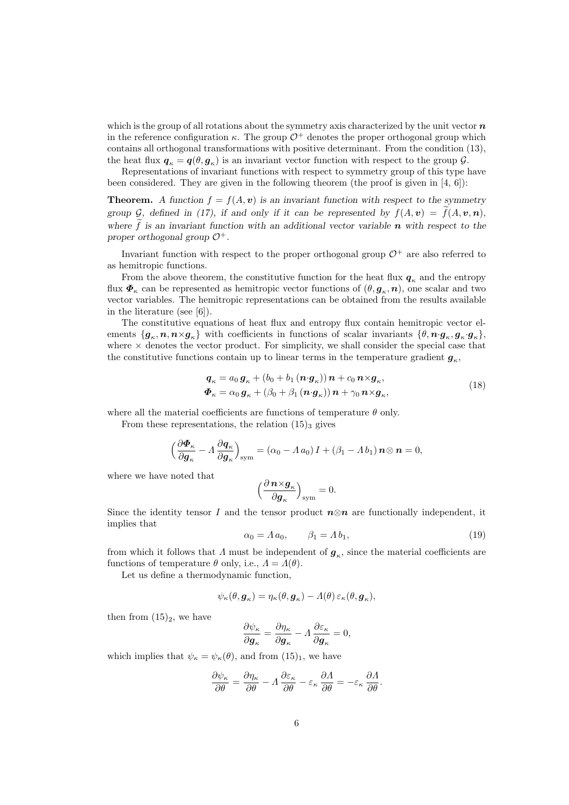which is the group of all rotations about the symmetry axis characterized by the unit vector  $\boldsymbol{n}$ in the reference configuration  $\kappa$ . The group  $\mathcal{O}^+$  denotes the proper orthogonal group which contains all orthogonal transformations with positive determinant. From the condition (13), the heat flux  $q_{\kappa} = q(\theta, g_{\kappa})$  is an invariant vector function with respect to the group  $\mathcal{G}$ .

Representations of invariant functions with respect to symmetry group of this type have been considered. They are given in the following theorem (the proof is given in [4, 6]):

**Theorem.** A function  $f = f(A, v)$  is an invariant function with respect to the symmetry group G, defined in (17), if and only if it can be represented by  $f(A, v) = f(A, v, n)$ , where  $\tilde{f}$  is an invariant function with an additional vector variable n with respect to the proper orthogonal group  $\mathcal{O}^+$ .

Invariant function with respect to the proper orthogonal group  $\mathcal{O}^+$  are also referred to as hemitropic functions.

From the above theorem, the constitutive function for the heat flux  $q_k$  and the entropy flux  $\bm{\Phi}_{\kappa}$  can be represented as hemitropic vector functions of  $(\theta, \bm{g}_{\kappa}, \bm{n})$ , one scalar and two vector variables. The hemitropic representations can be obtained from the results available in the literature (see [6]).

The constitutive equations of heat flux and entropy flux contain hemitropic vector elements  $\{g_{\kappa}, n, n \times g_{\kappa}\}\$  with coefficients in functions of scalar invariants  $\{\theta, n \cdot g_{\kappa}, g_{\kappa} \cdot g_{\kappa}\}\$ , where  $\times$  denotes the vector product. For simplicity, we shall consider the special case that the constitutive functions contain up to linear terms in the temperature gradient  $g_{\kappa}$ ,

$$
\mathbf{q}_{\kappa} = a_0 \mathbf{g}_{\kappa} + (b_0 + b_1 (\mathbf{n} \cdot \mathbf{g}_{\kappa})) \mathbf{n} + c_0 \mathbf{n} \times \mathbf{g}_{\kappa},
$$
  
\n
$$
\mathbf{\Phi}_{\kappa} = \alpha_0 \mathbf{g}_{\kappa} + (\beta_0 + \beta_1 (\mathbf{n} \cdot \mathbf{g}_{\kappa})) \mathbf{n} + \gamma_0 \mathbf{n} \times \mathbf{g}_{\kappa},
$$
\n(18)

where all the material coefficients are functions of temperature  $\theta$  only.

From these representations, the relation  $(15)_3$  gives

$$
\left(\frac{\partial \boldsymbol{\Phi}_{\kappa}}{\partial \boldsymbol{g}_{\kappa}} - \Lambda \frac{\partial \boldsymbol{q}_{\kappa}}{\partial \boldsymbol{g}_{\kappa}}\right)_{\text{sym}} = \left(\alpha_0 - \Lambda a_0\right)I + \left(\beta_1 - \Lambda b_1\right)\boldsymbol{n} \otimes \boldsymbol{n} = 0,
$$

where we have noted that

$$
\Big(\frac{\partial\,\boldsymbol{n}\!\times\!\boldsymbol{g}_\kappa}{\partial\boldsymbol{g}_\kappa}\Big)_\mathrm{sym}=0.
$$

Since the identity tensor I and the tensor product  $n \otimes n$  are functionally independent, it implies that

$$
\alpha_0 = \Lambda a_0, \qquad \beta_1 = \Lambda b_1,\tag{19}
$$

from which it follows that  $\Lambda$  must be independent of  $g_{\kappa}$ , since the material coefficients are functions of temperature  $\theta$  only, i.e.,  $\Lambda = \Lambda(\theta)$ .

Let us define a thermodynamic function,

$$
\psi_{\kappa}(\theta, \mathbf{g}_{\kappa}) = \eta_{\kappa}(\theta, \mathbf{g}_{\kappa}) - \varLambda(\theta) \, \varepsilon_{\kappa}(\theta, \mathbf{g}_{\kappa}),
$$

then from  $(15)_2$ , we have

$$
\frac{\partial \psi_{\kappa}}{\partial \boldsymbol{g}_{\kappa}} = \frac{\partial \eta_{\kappa}}{\partial \boldsymbol{g}_{\kappa}} - \Lambda \frac{\partial \varepsilon_{\kappa}}{\partial \boldsymbol{g}_{\kappa}} = 0,
$$

which implies that  $\psi_{\kappa} = \psi_{\kappa}(\theta)$ , and from  $(15)_1$ , we have

$$
\frac{\partial \psi_{\kappa}}{\partial \theta} = \frac{\partial \eta_{\kappa}}{\partial \theta} - \Lambda \frac{\partial \varepsilon_{\kappa}}{\partial \theta} - \varepsilon_{\kappa} \frac{\partial \Lambda}{\partial \theta} = -\varepsilon_{\kappa} \frac{\partial \Lambda}{\partial \theta}.
$$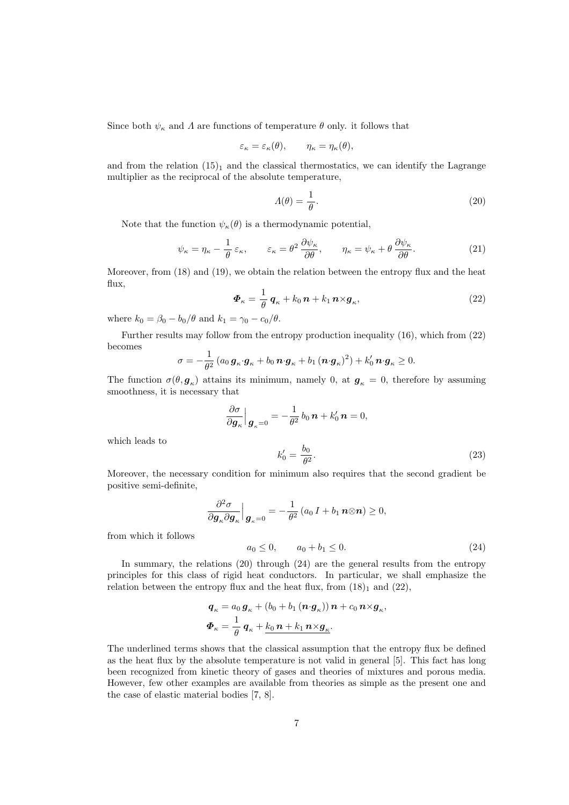Since both  $\psi_{\kappa}$  and  $\Lambda$  are functions of temperature  $\theta$  only. it follows that

$$
\varepsilon_{\kappa} = \varepsilon_{\kappa}(\theta), \qquad \eta_{\kappa} = \eta_{\kappa}(\theta),
$$

and from the relation  $(15)<sub>1</sub>$  and the classical thermostatics, we can identify the Lagrange multiplier as the reciprocal of the absolute temperature,

$$
\Lambda(\theta) = \frac{1}{\theta}.\tag{20}
$$

Note that the function  $\psi_{\kappa}(\theta)$  is a thermodynamic potential,

$$
\psi_{\kappa} = \eta_{\kappa} - \frac{1}{\theta} \, \varepsilon_{\kappa}, \qquad \varepsilon_{\kappa} = \theta^2 \, \frac{\partial \psi_{\kappa}}{\partial \theta}, \qquad \eta_{\kappa} = \psi_{\kappa} + \theta \, \frac{\partial \psi_{\kappa}}{\partial \theta}.
$$

Moreover, from (18) and (19), we obtain the relation between the entropy flux and the heat flux,

$$
\boldsymbol{\Phi}_{\kappa} = \frac{1}{\theta} \, \boldsymbol{q}_{\kappa} + k_0 \, \boldsymbol{n} + k_1 \, \boldsymbol{n} \times \boldsymbol{g}_{\kappa},\tag{22}
$$

where  $k_0 = \beta_0 - b_0/\theta$  and  $k_1 = \gamma_0 - c_0/\theta$ .

Further results may follow from the entropy production inequality (16), which from (22) becomes

$$
\sigma = -\frac{1}{\theta^2} \left( a_0 \, \boldsymbol{g}_\kappa \cdot \boldsymbol{g}_\kappa + b_0 \, \boldsymbol{n} \cdot \boldsymbol{g}_\kappa + b_1 \, (\boldsymbol{n} \cdot \boldsymbol{g}_\kappa)^2 \right) + k'_0 \, \boldsymbol{n} \cdot \boldsymbol{g}_\kappa \ge 0.
$$

The function  $\sigma(\theta, \mathbf{g}_\kappa)$  attains its minimum, namely 0, at  $\mathbf{g}_\kappa = 0$ , therefore by assuming smoothness, it is necessary that

$$
\frac{\partial \sigma}{\partial \mathbf{g}_{\kappa}} \Big|_{\mathbf{g}_{\kappa} = 0} = -\frac{1}{\theta^2} b_0 \, \mathbf{n} + k'_0 \, \mathbf{n} = 0,
$$
\n
$$
k'_0 = \frac{b_0}{\theta^2}.
$$
\n(23)

which leads to

Moreover, the necessary condition for minimum also requires that the second gradient be positive semi-definite,

 $\theta^2$ 

$$
\frac{\partial^2 \sigma}{\partial \mathbf{g}_{\kappa} \partial \mathbf{g}_{\kappa}} \Big|_{\mathbf{g}_{\kappa} = 0} = -\frac{1}{\theta^2} (a_0 I + b_1 \mathbf{n} \otimes \mathbf{n}) \ge 0,
$$
  
\n
$$
a_0 \le 0, \qquad a_0 + b_1 \le 0.
$$
 (24)

from which it follows

In summary, the relations (20) through (24) are the general results from the entropy principles for this class of rigid heat conductors. In particular, we shall emphasize the

$$
\mathbf{q}_{\kappa} = a_0 \mathbf{g}_{\kappa} + (b_0 + b_1 (\mathbf{n} \cdot \mathbf{g}_{\kappa})) \mathbf{n} + c_0 \mathbf{n} \times \mathbf{g}_{\kappa},
$$
  

$$
\mathbf{\Phi}_{\kappa} = \frac{1}{\theta} \mathbf{q}_{\kappa} + \frac{k_0 \mathbf{n} + k_1 \mathbf{n} \times \mathbf{g}_{\kappa}}{}
$$

relation between the entropy flux and the heat flux, from  $(18)_1$  and  $(22)$ ,

The underlined terms shows that the classical assumption that the entropy flux be defined as the heat flux by the absolute temperature is not valid in general [5]. This fact has long been recognized from kinetic theory of gases and theories of mixtures and porous media. However, few other examples are available from theories as simple as the present one and the case of elastic material bodies [7, 8].